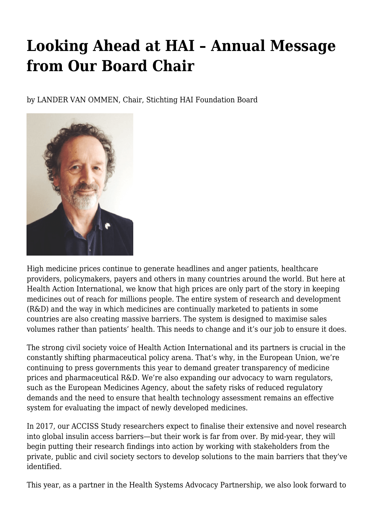## **Looking Ahead at HAI – Annual Message from Our Board Chair**

by LANDER VAN OMMEN, Chair, Stichting HAI Foundation Board



High medicine prices continue to generate headlines and anger patients, healthcare providers, policymakers, payers and others in many countries around the world. But here at Health Action International, we know that high prices are only part of the story in keeping medicines out of reach for millions people. The entire system of research and development (R&D) and the way in which medicines are continually marketed to patients in some countries are also creating massive barriers. The system is designed to maximise sales volumes rather than patients' health. This needs to change and it's our job to ensure it does.

The strong civil society voice of Health Action International and its partners is crucial in the constantly shifting pharmaceutical policy arena. That's why, in the European Union, we're continuing to press governments this year to demand greater transparency of medicine prices and pharmaceutical R&D. We're also expanding our advocacy to warn regulators, such as the European Medicines Agency, about the safety risks of reduced regulatory demands and the need to ensure that health technology assessment remains an effective system for evaluating the impact of newly developed medicines.

In 2017, our ACCISS Study researchers expect to finalise their extensive and novel research into global insulin access barriers—but their work is far from over. By mid-year, they will begin putting their research findings into action by working with stakeholders from the private, public and civil society sectors to develop solutions to the main barriers that they've identified.

This year, as a partner in the Health Systems Advocacy Partnership, we also look forward to